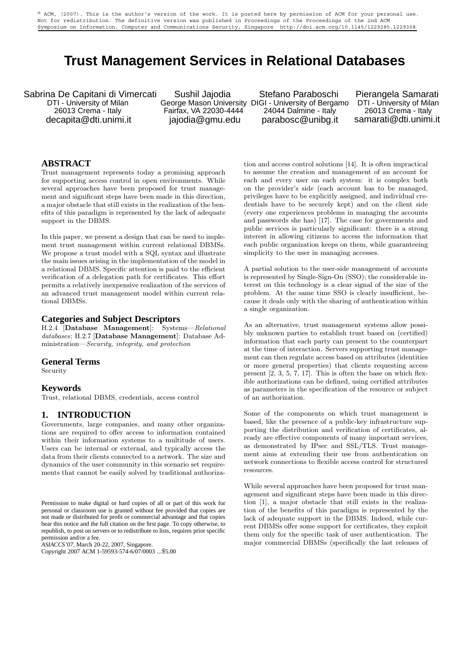# **Trust Management Services in Relational Databases**

Sabrina De Capitani di Vimercati DTI - University of Milan 26013 Crema - Italy decapita@dti.unimi.it

Sushil Jajodia Fairfax, VA 22030-4444 jajodia@gmu.edu

George Mason University DIGI - University of Bergamo Stefano Paraboschi 24044 Dalmine - Italy parabosc@unibg.it

Pierangela Samarati DTI - University of Milan 26013 Crema - Italy samarati@dti.unimi.it

#### **ABSTRACT**

Trust management represents today a promising approach for supporting access control in open environments. While several approaches have been proposed for trust management and significant steps have been made in this direction, a major obstacle that still exists in the realization of the benefits of this paradigm is represented by the lack of adequate support in the DBMS.

In this paper, we present a design that can be used to implement trust management within current relational DBMSs. We propose a trust model with a SQL syntax and illustrate the main issues arising in the implementation of the model in a relational DBMS. Specific attention is paid to the efficient verification of a delegation path for certificates. This effort permits a relatively inexpensive realization of the services of an advanced trust management model within current relational DBMSs.

#### **Categories and Subject Descriptors**

H.2.4 [Database Management]: Systems—Relational databases; H.2.7 [Database Management]: Database Administration—Security, integrity, and protection

#### **General Terms**

Security

#### **Keywords**

Trust, relational DBMS, credentials, access control

#### **1. INTRODUCTION**

Governments, large companies, and many other organizations are required to offer access to information contained within their information systems to a multitude of users. Users can be internal or external, and typically access the data from their clients connected to a network. The size and dynamics of the user community in this scenario set requirements that cannot be easily solved by traditional authoriza-

*ASIACCS'07,* March 20-22, 2007, Singapore.

Copyright 2007 ACM 1-59593-574-6/07/0003 ...\$5.00

tion and access control solutions [14]. It is often impractical to assume the creation and management of an account for each and every user on each system: it is complex both on the provider's side (each account has to be managed, privileges have to be explicitly assigned, and individual credentials have to be securely kept) and on the client side (every one experiences problems in managing the accounts and passwords she has) [17]. The case for governments and public services is particularly significant: there is a strong interest in allowing citizens to access the information that each public organization keeps on them, while guaranteeing simplicity to the user in managing accesses.

A partial solution to the user-side management of accounts is represented by Single-Sign-On (SSO); the considerable interest on this technology is a clear signal of the size of the problem. At the same time SSO is clearly insufficient, because it deals only with the sharing of authentication within a single organization.

As an alternative, trust management systems allow possibly unknown parties to establish trust based on (certified) information that each party can present to the counterpart at the time of interaction. Servers supporting trust management can then regulate access based on attributes (identities or more general properties) that clients requesting access present [2, 3, 5, 7, 17]. This is often the base on which flexible authorizations can be defined, using certified attributes as parameters in the specification of the resource or subject of an authorization.

Some of the components on which trust management is based, like the presence of a public-key infrastructure supporting the distribution and verification of certificates, already are effective components of many important services, as demonstrated by IPsec and SSL/TLS. Trust management aims at extending their use from authentication on network connections to flexible access control for structured resources.

While several approaches have been proposed for trust management and significant steps have been made in this direction [1], a major obstacle that still exists in the realization of the benefits of this paradigm is represented by the lack of adequate support in the DBMS. Indeed, while current DBMSs offer some support for certificates, they exploit them only for the specific task of user authentication. The major commercial DBMSs (specifically the last releases of

Permission to make digital or hard copies of all or part of this work for personal or classroom use is granted without fee provided that copies are not made or distributed for profit or commercial advantage and that copies bear this notice and the full citation on the first page. To copy otherwise, to republish, to post on servers or to redistribute to lists, requires prior specific permission and/or a fee.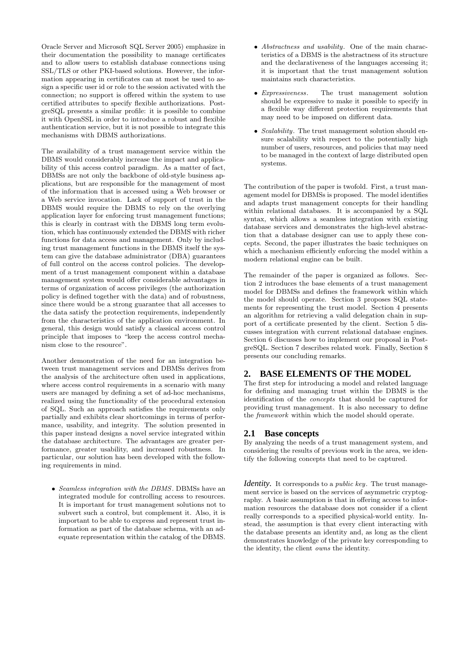Oracle Server and Microsoft SQL Server 2005) emphasize in their documentation the possibility to manage certificates and to allow users to establish database connections using SSL/TLS or other PKI-based solutions. However, the information appearing in certificates can at most be used to assign a specific user id or role to the session activated with the connection; no support is offered within the system to use certified attributes to specify flexible authorizations. PostgreSQL presents a similar profile: it is possible to combine it with OpenSSL in order to introduce a robust and flexible authentication service, but it is not possible to integrate this mechanisms with DBMS authorizations.

The availability of a trust management service within the DBMS would considerably increase the impact and applicability of this access control paradigm. As a matter of fact, DBMSs are not only the backbone of old-style business applications, but are responsible for the management of most of the information that is accessed using a Web browser or a Web service invocation. Lack of support of trust in the DBMS would require the DBMS to rely on the overlying application layer for enforcing trust management functions; this is clearly in contrast with the DBMS long term evolution, which has continuously extended the DBMS with richer functions for data access and management. Only by including trust management functions in the DBMS itself the system can give the database administrator (DBA) guarantees of full control on the access control policies. The development of a trust management component within a database management system would offer considerable advantages in terms of organization of access privileges (the authorization policy is defined together with the data) and of robustness, since there would be a strong guarantee that all accesses to the data satisfy the protection requirements, independently from the characteristics of the application environment. In general, this design would satisfy a classical access control principle that imposes to "keep the access control mechanism close to the resource".

Another demonstration of the need for an integration between trust management services and DBMSs derives from the analysis of the architecture often used in applications, where access control requirements in a scenario with many users are managed by defining a set of ad-hoc mechanisms, realized using the functionality of the procedural extension of SQL. Such an approach satisfies the requirements only partially and exhibits clear shortcomings in terms of performance, usability, and integrity. The solution presented in this paper instead designs a novel service integrated within the database architecture. The advantages are greater performance, greater usability, and increased robustness. In particular, our solution has been developed with the following requirements in mind.

• Seamless integration with the DBMS. DBMSs have an integrated module for controlling access to resources. It is important for trust management solutions not to subvert such a control, but complement it. Also, it is important to be able to express and represent trust information as part of the database schema, with an adequate representation within the catalog of the DBMS.

- Abstractness and usability. One of the main characteristics of a DBMS is the abstractness of its structure and the declarativeness of the languages accessing it; it is important that the trust management solution maintains such characteristics.
- *Expressiveness*. The trust management solution should be expressive to make it possible to specify in a flexible way different protection requirements that may need to be imposed on different data.
- *Scalability*. The trust management solution should ensure scalability with respect to the potentially high number of users, resources, and policies that may need to be managed in the context of large distributed open systems.

The contribution of the paper is twofold. First, a trust management model for DBMSs is proposed. The model identifies and adapts trust management concepts for their handling within relational databases. It is accompanied by a SQL syntax, which allows a seamless integration with existing database services and demonstrates the high-level abstraction that a database designer can use to apply these concepts. Second, the paper illustrates the basic techniques on which a mechanism efficiently enforcing the model within a modern relational engine can be built.

The remainder of the paper is organized as follows. Section 2 introduces the base elements of a trust management model for DBMSs and defines the framework within which the model should operate. Section 3 proposes SQL statements for representing the trust model. Section 4 presents an algorithm for retrieving a valid delegation chain in support of a certificate presented by the client. Section 5 discusses integration with current relational database engines. Section 6 discusses how to implement our proposal in PostgreSQL. Section 7 describes related work. Finally, Section 8 presents our concluding remarks.

# **2. BASE ELEMENTS OF THE MODEL**

The first step for introducing a model and related language for defining and managing trust within the DBMS is the identification of the concepts that should be captured for providing trust management. It is also necessary to define the framework within which the model should operate.

# **2.1 Base concepts**

By analyzing the needs of a trust management system, and considering the results of previous work in the area, we identify the following concepts that need to be captured.

*Identity*. It corresponds to a *public key*. The trust management service is based on the services of asymmetric cryptography. A basic assumption is that in offering access to information resources the database does not consider if a client really corresponds to a specified physical-world entity. Instead, the assumption is that every client interacting with the database presents an identity and, as long as the client demonstrates knowledge of the private key corresponding to the identity, the client owns the identity.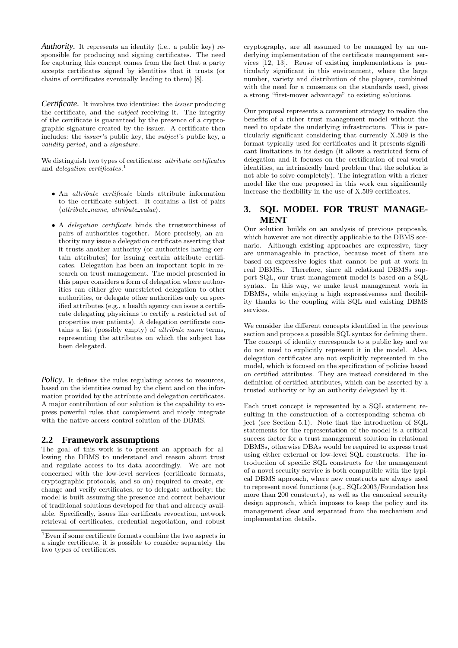*Authority.* It represents an identity (i.e., a public key) responsible for producing and signing certificates. The need for capturing this concept comes from the fact that a party accepts certificates signed by identities that it trusts (or chains of certificates eventually leading to them) [8].

*Certificate.* It involves two identities: the issuer producing the certificate, and the subject receiving it. The integrity of the certificate is guaranteed by the presence of a cryptographic signature created by the issuer. A certificate then includes: the issuer's public key, the subject's public key, a validity period, and a signature.

We distinguish two types of certificates: attribute certificates and *delegation* certificates.<sup>1</sup>

- An attribute certificate binds attribute information to the certificate subject. It contains a list of pairs  $\langle$  attribute\_name, attribute\_value $\rangle$ .
- A *delegation certificate* binds the trustworthiness of pairs of authorities together. More precisely, an authority may issue a delegation certificate asserting that it trusts another authority (or authorities having certain attributes) for issuing certain attribute certificates. Delegation has been an important topic in research on trust management. The model presented in this paper considers a form of delegation where authorities can either give unrestricted delegation to other authorities, or delegate other authorities only on specified attributes (e.g., a health agency can issue a certificate delegating physicians to certify a restricted set of properties over patients). A delegation certificate contains a list (possibly empty) of attribute name terms, representing the attributes on which the subject has been delegated.

*Policy*. It defines the rules regulating access to resources, based on the identities owned by the client and on the information provided by the attribute and delegation certificates. A major contribution of our solution is the capability to express powerful rules that complement and nicely integrate with the native access control solution of the DBMS.

#### **2.2 Framework assumptions**

The goal of this work is to present an approach for allowing the DBMS to understand and reason about trust and regulate access to its data accordingly. We are not concerned with the low-level services (certificate formats, cryptographic protocols, and so on) required to create, exchange and verify certificates, or to delegate authority; the model is built assuming the presence and correct behaviour of traditional solutions developed for that and already available. Specifically, issues like certificate revocation, network retrieval of certificates, credential negotiation, and robust

cryptography, are all assumed to be managed by an underlying implementation of the certificate management services [12, 13]. Reuse of existing implementations is particularly significant in this environment, where the large number, variety and distribution of the players, combined with the need for a consensus on the standards used, gives a strong "first-mover advantage" to existing solutions.

Our proposal represents a convenient strategy to realize the benefits of a richer trust management model without the need to update the underlying infrastructure. This is particularly significant considering that currently X.509 is the format typically used for certificates and it presents significant limitations in its design (it allows a restricted form of delegation and it focuses on the certification of real-world identities, an intrinsically hard problem that the solution is not able to solve completely). The integration with a richer model like the one proposed in this work can significantly increase the flexibility in the use of X.509 certificates.

# **3. SQL MODEL FOR TRUST MANAGE-MENT**

Our solution builds on an analysis of previous proposals, which however are not directly applicable to the DBMS scenario. Although existing approaches are expressive, they are unmanageable in practice, because most of them are based on expressive logics that cannot be put at work in real DBMSs. Therefore, since all relational DBMSs support SQL, our trust management model is based on a SQL syntax. In this way, we make trust management work in DBMSs, while enjoying a high expressiveness and flexibility thanks to the coupling with SQL and existing DBMS services.

We consider the different concepts identified in the previous section and propose a possible SQL syntax for defining them. The concept of identity corresponds to a public key and we do not need to explicitly represent it in the model. Also, delegation certificates are not explicitly represented in the model, which is focused on the specification of policies based on certified attributes. They are instead considered in the definition of certified attributes, which can be asserted by a trusted authority or by an authority delegated by it.

Each trust concept is represented by a SQL statement resulting in the construction of a corresponding schema object (see Section 5.1). Note that the introduction of SQL statements for the representation of the model is a critical success factor for a trust management solution in relational DBMSs, otherwise DBAs would be required to express trust using either external or low-level SQL constructs. The introduction of specific SQL constructs for the management of a novel security service is both compatible with the typical DBMS approach, where new constructs are always used to represent novel functions (e.g., SQL:2003/Foundation has more than 200 constructs), as well as the canonical security design approach, which imposes to keep the policy and its management clear and separated from the mechanism and implementation details.

<sup>&</sup>lt;sup>1</sup>Even if some certificate formats combine the two aspects in a single certificate, it is possible to consider separately the two types of certificates.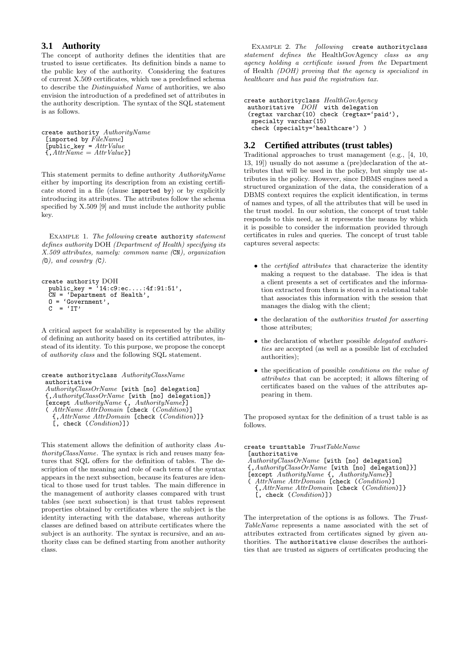#### **3.1 Authority**

The concept of authority defines the identities that are trusted to issue certificates. Its definition binds a name to the public key of the authority. Considering the features of current X.509 certificates, which use a predefined schema to describe the Distinguished Name of authorities, we also envision the introduction of a predefined set of attributes in the authority description. The syntax of the SQL statement is as follows.

```
create authority AuthorityName[imported by FileName]
 [pubic\_key] = AttrValue\overline{A}, AttrName = AttrValue}]
```
This statement permits to define authority AuthorityName either by importing its description from an existing certificate stored in a file (clause imported by) or by explicitly introducing its attributes. The attributes follow the schema specified by X.509 [9] and must include the authority public key.

Example 1. The following create authority statement defines authority DOH (Department of Health) specifying its X.509 attributes, namely: common name (CN), organization  $(0)$ , and country  $(C)$ .

```
create authority DOH
  public_key = '14:c9:ec....:4f:91:51',
 CN = 'Department of Health',
 0 = 'Government',C = 'IT'
```
A critical aspect for scalability is represented by the ability of defining an authority based on its certified attributes, instead of its identity. To this purpose, we propose the concept of authority class and the following SQL statement.

```
create authorityclass AuthorityClassName
authoritative
 AuthorityClassOrName [with [no] delegation]
 {,AuthorityClassOrName [with [no] delegation]}
 [except AuthorityName {, AuthorityName}]
 ( AttrName AttrDomain [check (Condition)]
   {,AttrName AttrDomain [check (Condition)]}
   [, check (Condition)])
```
This statement allows the definition of authority class AuthorityClassName. The syntax is rich and reuses many features that SQL offers for the definition of tables. The description of the meaning and role of each term of the syntax appears in the next subsection, because its features are identical to those used for trust tables. The main difference in the management of authority classes compared with trust tables (see next subsection) is that trust tables represent properties obtained by certificates where the subject is the identity interacting with the database, whereas authority classes are defined based on attribute certificates where the subject is an authority. The syntax is recursive, and an authority class can be defined starting from another authority class.

Example 2. The following create authorityclass statement defines the HealthGovAgency class as any agency holding a certificate issued from the Department of Health (DOH) proving that the agency is specialized in healthcare and has paid the registration tax.

```
create authorityclass HealthGovAgency
authoritative DOH with delegation
 (regtax varchar(10) check (regtax='paid'),
 specialty varchar(15)
 check (specialty='healthcare') )
```
#### **3.2 Certified attributes (trust tables)**

Traditional approaches to trust management (e.g., [4, 10, 13, 19]) usually do not assume a (pre)declaration of the attributes that will be used in the policy, but simply use attributes in the policy. However, since DBMS engines need a structured organization of the data, the consideration of a DBMS context requires the explicit identification, in terms of names and types, of all the attributes that will be used in the trust model. In our solution, the concept of trust table responds to this need, as it represents the means by which it is possible to consider the information provided through certificates in rules and queries. The concept of trust table captures several aspects:

- the *certified attributes* that characterize the identity making a request to the database. The idea is that a client presents a set of certificates and the information extracted from them is stored in a relational table that associates this information with the session that manages the dialog with the client;
- the declaration of the authorities trusted for asserting those attributes;
- the declaration of whether possible delegated authorities are accepted (as well as a possible list of excluded authorities);
- the specification of possible *conditions* on the value of attributes that can be accepted; it allows filtering of certificates based on the values of the attributes appearing in them.

The proposed syntax for the definition of a trust table is as follows.

```
\emph{create trusttableName}[authoritative
 AuthorityClassOrName [with [no] delegation]
{,AuthorityClassOrName [with [no] delegation]}]
 [except AuthorityName {, AuthorityName}]
 ( AttrName AttrDomain [check (Condition)]
   {,AttrName AttrDomain [check (Condition)]}
   [, check (Condition)])
```
The interpretation of the options is as follows. The Trust-TableName represents a name associated with the set of attributes extracted from certificates signed by given authorities. The authoritative clause describes the authorities that are trusted as signers of certificates producing the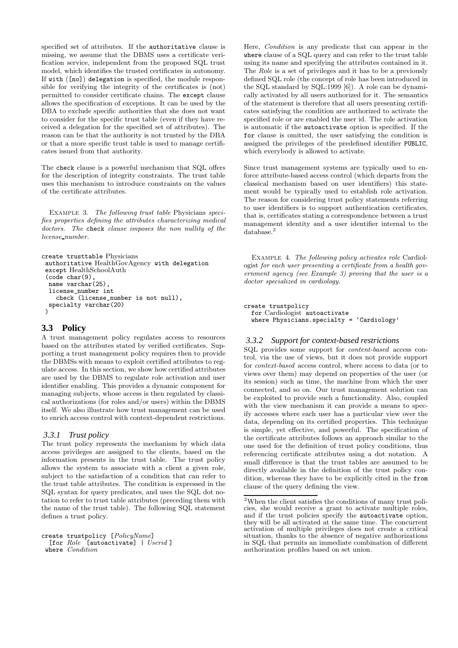specified set of attributes. If the authoritative clause is missing, we assume that the DBMS uses a certificate verification service, independent from the proposed SQL trust model, which identifies the trusted certificates in autonomy. If with ([no]) delegation is specified, the module responsible for verifying the integrity of the certificates is (not) permitted to consider certificate chains. The except clause allows the specification of exceptions. It can be used by the DBA to exclude specific authorities that she does not want to consider for the specific trust table (even if they have received a delegation for the specified set of attributes). The reason can be that the authority is not trusted by the DBA or that a more specific trust table is used to manage certificates issued from that authority.

The check clause is a powerful mechanism that SQL offers for the description of integrity constraints. The trust table uses this mechanism to introduce constraints on the values of the certificate attributes.

Example 3. The following trust table Physicians specifies properties defining the attributes characterizing medical doctors. The check clause imposes the non nullity of the license number.

```
create trusttable Physicians
 authoritative HealthGovAgency with delegation
 except HealthSchoolAuth
 (code char(9))name varchar(25),
  license_number int
    check (license_number is not null),
  specialty varchar(20)
 \lambda
```
# **3.3 Policy**

A trust management policy regulates access to resources based on the attributes stated by verified certificates. Supporting a trust management policy requires then to provide the DBMSs with means to exploit certified attributes to regulate access. In this section, we show how certified attributes are used by the DBMS to regulate role activation and user identifier enabling. This provides a dynamic component for managing subjects, whose access is then regulated by classical authorizations (for roles and/or users) within the DBMS itself. We also illustrate how trust management can be used to enrich access control with context-dependent restrictions.

#### *3.3.1 Trust policy*

The trust policy represents the mechanism by which data access privileges are assigned to the clients, based on the information presents in the trust table. The trust policy allows the system to associate with a client a given role, subject to the satisfaction of a condition that can refer to the trust table attributes. The condition is expressed in the SQL syntax for query predicates, and uses the SQL dot notation to refer to trust table attributes (preceding them with the name of the trust table). The following SQL statement defines a trust policy.

create trustpolicy [PolicyName] [for Role [autoactivate] | Userid] where Condition

Here, Condition is any predicate that can appear in the where clause of a SQL query and can refer to the trust table using its name and specifying the attributes contained in it. The Role is a set of privileges and it has to be a previously defined SQL role (the concept of role has been introduced in the SQL standard by SQL:1999 [6]). A role can be dynamically activated by all users authorized for it. The semantics of the statement is therefore that all users presenting certificates satisfying the condition are authorized to activate the specified role or are enabled the user id. The role activation is automatic if the autoactivate option is specified. If the for clause is omitted, the user satisfying the condition is assigned the privileges of the predefined identifier PUBLIC, which everybody is allowed to activate.

Since trust management systems are typically used to enforce attribute-based access control (which departs from the classical mechanism based on user identifiers) this statement would be typically used to establish role activation. The reason for considering trust policy statements referring to user identifiers is to support authentication certificates, that is, certificates stating a correspondence between a trust management identity and a user identifier internal to the database.<sup>2</sup>

Example 4. The following policy activates role Cardiologist for each user presenting a certificate from a health government agency (see Example 3) proving that the user is a doctor specialized in cardiology.

```
create trustpolicy
  for Cardiologist autoactivate
  where Physicians.specialty = 'Cardiology'
```
#### *3.3.2 Support for context-based restrictions*

SQL provides some support for content-based access control, via the use of views, but it does not provide support for context-based access control, where access to data (or to views over them) may depend on properties of the user (or its session) such as time, the machine from which the user connected, and so on. Our trust management solution can be exploited to provide such a functionality. Also, coupled with the view mechanism it can provide a means to specify accesses where each user has a particular view over the data, depending on its certified properties. This technique is simple, yet effective, and powerful. The specification of the certificate attributes follows an approach similar to the one used for the definition of trust policy conditions, thus referencing certificate attributes using a dot notation. A small difference is that the trust tables are assumed to be directly available in the definition of the trust policy condition, whereas they have to be explicitly cited in the from clause of the query defining the view.

<sup>2</sup>When the client satisfies the conditions of many trust policies, she would receive a grant to activate multiple roles, and if the trust policies specify the autoactivate option, they will be all activated at the same time. The concurrent activation of multiple privileges does not create a critical situation, thanks to the absence of negative authorizations in SQL that permits an immediate combination of different authorization profiles based on set union.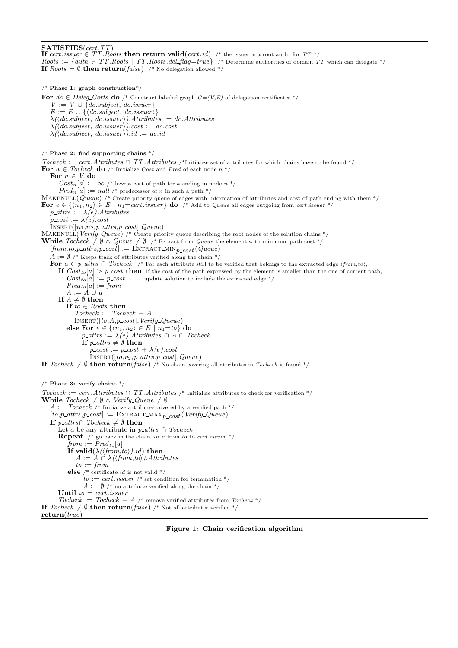#### SATISFIES(cert, TT)

If cert .issuer  $\in TT$ . Roots then return valid(cert .id) /\* the issuer is a root auth. for  $TT$  \*/  $Roots := \{auth \in TT.Roots \mid TT.Roots.del_flag = true \}$  /\* Determine authorities of domain TT which can delegate \*/ If  $Roots = \emptyset$  then return(false) /\* No delegation allowed \*/

/\* Phase 1: graph construction\*/ For  $dc \in Deleg_Certs$  do /\* Construct labeled graph  $G=(V,E)$  of delegation certificates \*/  $V := V \cup \{dc.subject, dc.issuper\}$  $E := E \cup \{ \langle dc.subject, dc.issuer \rangle \}$  $\lambda(\langle dc.subject, dc.issuer \rangle)$ .Attributes := dc.Attributes  $\lambda(\langle dc.subject, dc.issuer \rangle). cost := dc.cost$  $\lambda(\langle dc.subject, dc.issuer \rangle).id := dc.id$  $/*$  Phase 2: find supporting chains  $*/$ Tocheck := cert.Attributes  $\cap$  TT.Attributes /\*Initialize set of attributes for which chains have to be found \*/ For  $a \in Tocheck$  do /\* Initialize Cost and Pred of each node  $n *$ / For  $n\,\in\,V$  do  $Cost_n[a] := \infty$  /\* lowest cost of path for a ending in node  $n \times$  $Pred_n[a] := null$  /\* predecessor of n in such a path \*/ MAKENULL(Queue) /\* Create priority queue of edges with information of attributes and cost of path ending with them \*/ For  $e \in \{ \langle n_1, n_2 \rangle \in E \mid n_1=cert.issuer \}$  do /\* Add to Queue all edges outgoing from cert.issuer \*/  $p\_attrs := \lambda(e)$ . Attributes  $p\_cost := \lambda(e) \cdot cost$  $I$ NSERT $([n_1,n_2,p\_attrs,p\_cost], Queue)$ MAKENULL(Verify Queue) /\* Create priority queue describing the root nodes of the solution chains \*/ While Tocheck  $\neq \emptyset \wedge Queue \neq \emptyset$  /\* Extract from Queue the element with minimum path cost \*/  $[from, to, p\_attrs, p\_cost] := \mathrm{EXTr}\mathrm{ACT\_MIN}_{p\_cost}(Queue)$  $A := \emptyset$  /\* Keeps track of attributes verified along the chain \*/ For  $a \in p\_attrs \cap Tocheck$  /\* For each attribute still to be verified that belongs to the extracted edge (from,to), If  $Cost_{to}[a] > p\_{cost}$  then if the cost of the path expressed by the element is smaller than the one of current path,  $Cost_{to}[a] := p\_{cost}$  update solution to include the extracted edge \*/ update solution to include the extracted edge  $*/$  $Pred_{to}[a] := from$  $A := A \cup a$ If  $A \neq \emptyset$  then If  $to \in Roots$  then  $Tocheck := Tocheck - A$  $INSERT([to, A, p\_cost], Verify\_Queue)$ else For  $e \in \{ \langle n_1, n_2 \rangle \in E \mid n_1 = to \}$  do  $p\_attrs := \lambda(e)$ . Attributes  $\cap$  A  $\cap$  Tocheck If  $p\_attrs \neq \emptyset$  then  $p\_{cost} := p\_{cost} + \lambda(e)\_{cost}$  $\overline{I}$ NSERT([ $\overline{to}, n_2, p\_attrs, p\_cost$ ], Queue) If Tocheck  $\neq \emptyset$  then return(*false*) /\* No chain covering all attributes in Tocheck is found \*/  $/*$  Phase 3: verify chains  $*/$ Tocheck := cert. Attributes  $\cap$  TT. Attributes /\* Initialize attributes to check for verification \*/ While  $Tocheck \neq \emptyset \land Verify\_Queue \neq \emptyset$  $A := Tocheck / *$  Initialize attributes covered by a verified path \*/  $[to, p\_attrs, p\_cost] := \text{EXTRACT\_MAX}_{p\_cost}(\text{Verify\_Queue})$ **If** *p\_attrs*∩ *Tocheck*  $\neq$  *Ø* then Let a be any attribute in p\_attrs  $\cap$  Tocheck **Repeat**  $\frac{1}{8}$  ( $\frac{1}{8}$  go back in the chain for a from to to cert.issuer  $\frac{1}{8}$  $from := Pred_{to}[a]$ If valid $(\lambda \langle from, to \rangle).id)$  then  $A := A \cap \lambda \langle \langle \text{from}, \text{to} \rangle \rangle$ . Attributes  $to := from$ **else** /\* certificate *id* is not valid \*/  $to := cert.issuer$  /\* set condition for termination \*/  $A := \emptyset$  /\* no attribute verified along the chain \*/ Until  $to = cert$  issuer Tocheck := Tocheck - A /\* remove verified attributes from Tocheck \*/

Figure 1: Chain verification algorithm

If Tocheck  $\neq \emptyset$  then return(false) /\* Not all attributes verified \*/

 $return(true)$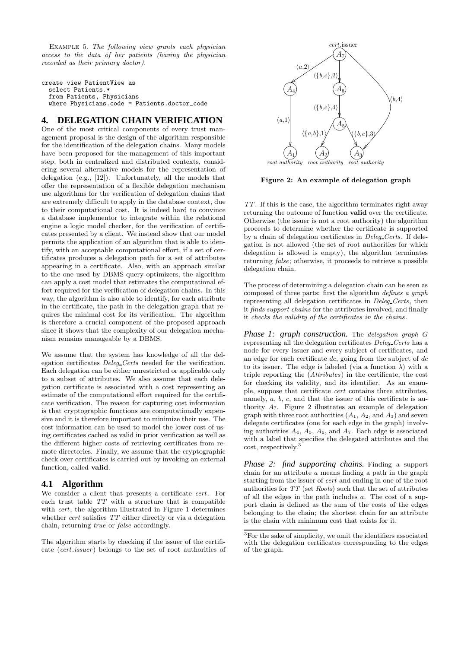Example 5. The following view grants each physician access to the data of her patients (having the physician recorded as their primary doctor).

create view PatientView as select Patients.\* from Patients, Physicians where Physicians.code = Patients.doctor\_code

#### **4. DELEGATION CHAIN VERIFICATION**

One of the most critical components of every trust management proposal is the design of the algorithm responsible for the identification of the delegation chains. Many models have been proposed for the management of this important step, both in centralized and distributed contexts, considering several alternative models for the representation of delegation (e.g., [12]). Unfortunately, all the models that offer the representation of a flexible delegation mechanism use algorithms for the verification of delegation chains that are extremely difficult to apply in the database context, due to their computational cost. It is indeed hard to convince a database implementor to integrate within the relational engine a logic model checker, for the verification of certificates presented by a client. We instead show that our model permits the application of an algorithm that is able to identify, with an acceptable computational effort, if a set of certificates produces a delegation path for a set of attributes appearing in a certificate. Also, with an approach similar to the one used by DBMS query optimizers, the algorithm can apply a cost model that estimates the computational effort required for the verification of delegation chains. In this way, the algorithm is also able to identify, for each attribute in the certificate, the path in the delegation graph that requires the minimal cost for its verification. The algorithm is therefore a crucial component of the proposed approach since it shows that the complexity of our delegation mechanism remains manageable by a DBMS.

We assume that the system has knowledge of all the delegation certificates *Deleg Certs* needed for the verification. Each delegation can be either unrestricted or applicable only to a subset of attributes. We also assume that each delegation certificate is associated with a cost representing an estimate of the computational effort required for the certificate verification. The reason for capturing cost information is that cryptographic functions are computationally expensive and it is therefore important to minimize their use. The cost information can be used to model the lower cost of using certificates cached as valid in prior verification as well as the different higher costs of retrieving certificates from remote directories. Finally, we assume that the cryptographic check over certificates is carried out by invoking an external function, called valid.

#### **4.1 Algorithm**

We consider a client that presents a certificate *cert*. For each trust table TT with a structure that is compatible with *cert*, the algorithm illustrated in Figure 1 determines whether *cert* satisfies  $TT$  either directly or via a delegation chain, returning true or false accordingly.

The algorithm starts by checking if the issuer of the certificate (cert issuer) belongs to the set of root authorities of



Figure 2: An example of delegation graph

TT. If this is the case, the algorithm terminates right away returning the outcome of function **valid** over the certificate. Otherwise (the issuer is not a root authority) the algorithm proceeds to determine whether the certificate is supported by a chain of delegation certificates in Deleg Certs. If delegation is not allowed (the set of root authorities for which delegation is allowed is empty), the algorithm terminates returning false; otherwise, it proceeds to retrieve a possible delegation chain.

The process of determining a delegation chain can be seen as composed of three parts: first the algorithm defines a graph representing all delegation certificates in Deleg Certs, then it finds support chains for the attributes involved, and finally it checks the validity of the certificates in the chains.

*Phase 1: graph construction.* The delegation graph G representing all the delegation certificates Deleg Certs has a node for every issuer and every subject of certificates, and an edge for each certificate  $dc$ , going from the subject of  $dc$ to its issuer. The edge is labeled (via a function  $\lambda$ ) with a triple reporting the (Attributes) in the certificate, the cost for checking its validity, and its identifier. As an example, suppose that certificate cert contains three attributes, namely,  $a, b, c$ , and that the issuer of this certificate is authority  $A_7$ . Figure 2 illustrates an example of delegation graph with three root authorities  $(A_1, A_2, \text{ and } A_3)$  and seven delegate certificates (one for each edge in the graph) involving authorities  $A_4$ ,  $A_5$ ,  $A_6$ , and  $A_7$ . Each edge is associated with a label that specifies the delegated attributes and the cost, respectively.<sup>3</sup>

*Phase 2: find supporting chains.* Finding a support chain for an attribute  $a$  means finding a path in the graph starting from the issuer of cert and ending in one of the root authorities for TT (set Roots) such that the set of attributes of all the edges in the path includes a. The cost of a support chain is defined as the sum of the costs of the edges belonging to the chain; the shortest chain for an attribute is the chain with minimum cost that exists for it.

<sup>3</sup>For the sake of simplicity, we omit the identifiers associated with the delegation certificates corresponding to the edges of the graph.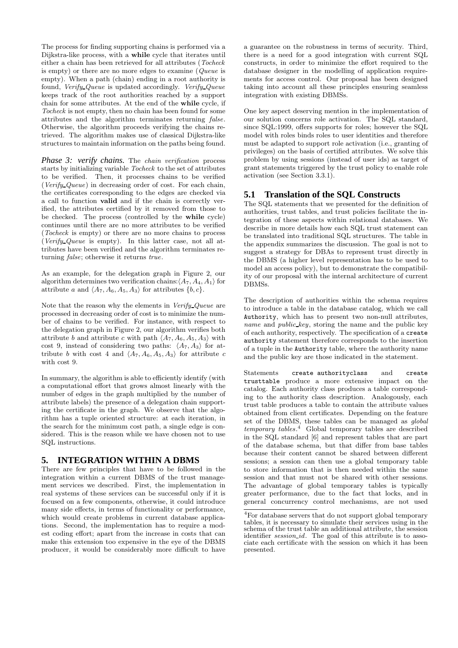The process for finding supporting chains is performed via a Dijkstra-like process, with a while cycle that iterates until either a chain has been retrieved for all attributes (Tocheck is empty) or there are no more edges to examine (Queue is empty). When a path (chain) ending in a root authority is found, Verify Queue is updated accordingly. Verify Queue keeps track of the root authorities reached by a support chain for some attributes. At the end of the while cycle, if Tocheck is not empty, then no chain has been found for some attributes and the algorithm terminates returning false. Otherwise, the algorithm proceeds verifying the chains retrieved. The algorithm makes use of classical Dijkstra-like structures to maintain information on the paths being found.

*Phase 3: verify chains.* The *chain verification* process starts by initializing variable Tocheck to the set of attributes to be verified. Then, it processes chains to be verified  $(Verify\_Queue)$  in decreasing order of cost. For each chain, the certificates corresponding to the edges are checked via a call to function valid and if the chain is correctly verified, the attributes certified by it removed from those to be checked. The process (controlled by the while cycle) continues until there are no more attributes to be verified (Tocheck is empty) or there are no more chains to process (Verify Queue is empty). In this latter case, not all attributes have been verified and the algorithm terminates returning false; otherwise it returns true.

As an example, for the delegation graph in Figure 2, our algorithm determines two verification chains:  $\langle A_7, A_4, A_1 \rangle$  for attribute a and  $\langle A_7, A_6, A_5, A_3 \rangle$  for attributes  $\{b, c\}.$ 

Note that the reason why the elements in Verify Queue are processed in decreasing order of cost is to minimize the number of chains to be verified. For instance, with respect to the delegation graph in Figure 2, our algorithm verifies both attribute b and attribute c with path  $\langle A_7, A_6, A_5, A_3 \rangle$  with cost 9, instead of considering two paths:  $\langle A_7, A_3 \rangle$  for attribute b with cost 4 and  $\langle A_7, A_6, A_5, A_3 \rangle$  for attribute c with cost 9.

In summary, the algorithm is able to efficiently identify (with a computational effort that grows almost linearly with the number of edges in the graph multiplied by the number of attribute labels) the presence of a delegation chain supporting the certificate in the graph. We observe that the algorithm has a tuple oriented structure: at each iteration, in the search for the minimum cost path, a single edge is considered. This is the reason while we have chosen not to use SQL instructions.

# **5. INTEGRATION WITHIN A DBMS**

There are few principles that have to be followed in the integration within a current DBMS of the trust management services we described. First, the implementation in real systems of these services can be successful only if it is focused on a few components, otherwise, it could introduce many side effects, in terms of functionality or performance, which would create problems in current database applications. Second, the implementation has to require a modest coding effort; apart from the increase in costs that can make this extension too expensive in the eye of the DBMS producer, it would be considerably more difficult to have

a guarantee on the robustness in terms of security. Third, there is a need for a good integration with current SQL constructs, in order to minimize the effort required to the database designer in the modelling of application requirements for access control. Our proposal has been designed taking into account all these principles ensuring seamless integration with existing DBMSs.

One key aspect deserving mention in the implementation of our solution concerns role activation. The SQL standard, since SQL:1999, offers supports for roles; however the SQL model with roles binds roles to user identities and therefore must be adapted to support role activation (i.e., granting of privileges) on the basis of certified attributes. We solve this problem by using sessions (instead of user ids) as target of grant statements triggered by the trust policy to enable role activation (see Section 3.3.1).

# **5.1 Translation of the SQL Constructs**

The SQL statements that we presented for the definition of authorities, trust tables, and trust policies facilitate the integration of these aspects within relational databases. We describe in more details how each SQL trust statement can be translated into traditional SQL structures. The table in the appendix summarizes the discussion. The goal is not to suggest a strategy for DBAs to represent trust directly in the DBMS (a higher level representation has to be used to model an access policy), but to demonstrate the compatibility of our proposal with the internal architecture of current DBMSs.

The description of authorities within the schema requires to introduce a table in the database catalog, which we call Authority, which has to present two non-null attributes, name and *public\_key*, storing the name and the public key of each authority, respectively. The specification of a create authority statement therefore corresponds to the insertion of a tuple in the Authority table, where the authority name and the public key are those indicated in the statement.

Statements create authorityclass and create trusttable produce a more extensive impact on the catalog. Each authority class produces a table corresponding to the authority class description. Analogously, each trust table produces a table to contain the attribute values obtained from client certificates. Depending on the feature set of the DBMS, these tables can be managed as global temporary tables. <sup>4</sup> Global temporary tables are described in the SQL standard [6] and represent tables that are part of the database schema, but that differ from base tables because their content cannot be shared between different sessions; a session can then use a global temporary table to store information that is then needed within the same session and that must not be shared with other sessions. The advantage of global temporary tables is typically greater performance, due to the fact that locks, and in general concurrency control mechanisms, are not used

 $^4\rm{For}$  database servers that do not support global temporary tables, it is necessary to simulate their services using in the schema of the trust table an additional attribute, the session identifier *session id*. The goal of this attribute is to associate each certificate with the session on which it has been presented.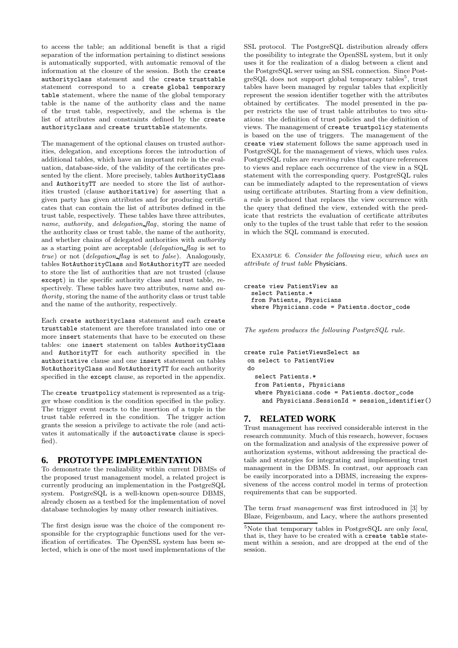to access the table; an additional benefit is that a rigid separation of the information pertaining to distinct sessions is automatically supported, with automatic removal of the information at the closure of the session. Both the create authorityclass statement and the create trusttable statement correspond to a create global temporary table statement, where the name of the global temporary table is the name of the authority class and the name of the trust table, respectively, and the schema is the list of attributes and constraints defined by the create authorityclass and create trusttable statements.

The management of the optional clauses on trusted authorities, delegation, and exceptions forces the introduction of additional tables, which have an important role in the evaluation, database-side, of the validity of the certificates presented by the client. More precisely, tables AuthorityClass and AuthorityTT are needed to store the list of authorities trusted (clause authoritative) for asserting that a given party has given attributes and for producing certificates that can contain the list of attributes defined in the trust table, respectively. These tables have three attributes, name, authority, and delegation flag, storing the name of the authority class or trust table, the name of the authority, and whether chains of delegated authorities with authority as a starting point are acceptable (delegation flag is set to true) or not (delegation flag is set to false). Analogously, tables NotAuthorityClass and NotAuthorityTT are needed to store the list of authorities that are not trusted (clause except) in the specific authority class and trust table, respectively. These tables have two attributes, name and authority, storing the name of the authority class or trust table and the name of the authority, respectively.

Each create authorityclass statement and each create trusttable statement are therefore translated into one or more insert statements that have to be executed on these tables: one insert statement on tables AuthorityClass and AuthorityTT for each authority specified in the authoritative clause and one insert statement on tables NotAuthorityClass and NotAuthorityTT for each authority specified in the except clause, as reported in the appendix.

The create trustpolicy statement is represented as a trigger whose condition is the condition specified in the policy. The trigger event reacts to the insertion of a tuple in the trust table referred in the condition. The trigger action grants the session a privilege to activate the role (and activates it automatically if the autoactivate clause is specified).

#### **6. PROTOTYPE IMPLEMENTATION**

To demonstrate the realizability within current DBMSs of the proposed trust management model, a related project is currently producing an implementation in the PostgreSQL system. PostgreSQL is a well-known open-source DBMS, already chosen as a testbed for the implementation of novel database technologies by many other research initiatives.

The first design issue was the choice of the component responsible for the cryptographic functions used for the verification of certificates. The OpenSSL system has been selected, which is one of the most used implementations of the

SSL protocol. The PostgreSQL distribution already offers the possibility to integrate the OpenSSL system, but it only uses it for the realization of a dialog between a client and the PostgreSQL server using an SSL connection. Since PostgreSQL does not support global temporary tables<sup>5</sup>, trust tables have been managed by regular tables that explicitly represent the session identifier together with the attributes obtained by certificates. The model presented in the paper restricts the use of trust table attributes to two situations: the definition of trust policies and the definition of views. The management of create trustpolicy statements is based on the use of triggers. The management of the create view statement follows the same approach used in PostgreSQL for the management of views, which uses *rules*. PostgreSQL rules are *rewriting* rules that capture references to views and replace each occurrence of the view in a SQL statement with the corresponding query. PostgreSQL rules can be immediately adapted to the representation of views using certificate attributes. Starting from a view definition, a rule is produced that replaces the view occurrence with the query that defined the view, extended with the predicate that restricts the evaluation of certificate attributes only to the tuples of the trust table that refer to the session in which the SQL command is executed.

Example 6. Consider the following view, which uses an attribute of trust table Physicians.

```
create view PatientView as
 select Patients.*
 from Patients, Physicians
 where Physicians.code = Patients.doctor_code
```
The system produces the following PostgreSQL rule.

```
create rule PatietViewsSelect as
on select to PatientView
do
  select Patients.*
  from Patients, Physicians
  where Physicians.code = Patients.doctor_code
     and Physicians.SessionId = session_identifier()
```
# **7. RELATED WORK**

Trust management has received considerable interest in the research community. Much of this research, however, focuses on the formalization and analysis of the expressive power of authorization systems, without addressing the practical details and strategies for integrating and implementing trust management in the DBMS. In contrast, our approach can be easily incorporated into a DBMS, increasing the expressiveness of the access control model in terms of protection requirements that can be supported.

The term trust management was first introduced in [3] by Blaze, Feigenbaum, and Lacy, where the authors presented

<sup>5</sup>Note that temporary tables in PostgreSQL are only local, that is, they have to be created with a create table statement within a session, and are dropped at the end of the session.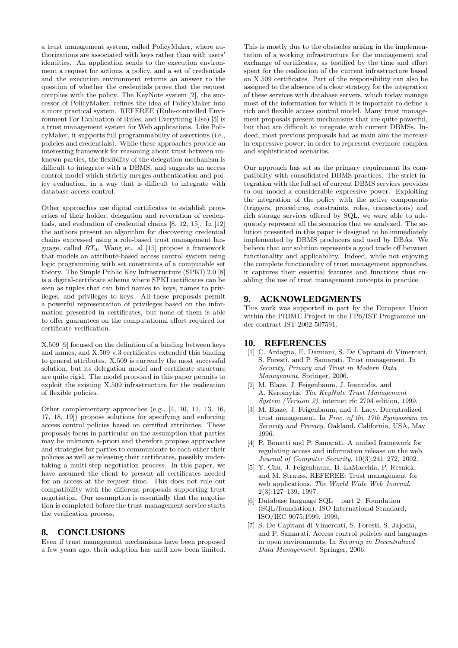a trust management system, called PolicyMaker, where authorizations are associated with keys rather than with users' identities. An application sends to the execution environment a request for actions, a policy, and a set of credentials and the execution environment returns an answer to the question of whether the credentials prove that the request complies with the policy. The KeyNote system [2], the successor of PolicyMaker, refines the idea of PolicyMaker into a more practical system. REFEREE (Rule-controlled Environment For Evaluation of Rules, and Everything Else) [5] is a trust management system for Web applications. Like PolicyMaker, it supports full programmability of assertions (i.e., policies and credentials). While these approaches provide an interesting framework for reasoning about trust between unknown parties, the flexibility of the delegation mechanism is difficult to integrate with a DBMS, and suggests an access control model which strictly merges authentication and policy evaluation, in a way that is difficult to integrate with database access control.

Other approaches use digital certificates to establish properties of their holder, delegation and revocation of credentials, and evaluation of credential chains [8, 12, 15]. In [12] the authors present an algorithm for discovering credential chains expressed using a role-based trust management language, called  $RT_0$ . Wang et. al [15] propose a framework that models an attribute-based access control system using logic programming with set constraints of a computable set theory. The Simple Public Key Infrastructure (SPKI) 2.0 [8] is a digital-certificate schema where SPKI certificates can be seen as tuples that can bind names to keys, names to privileges, and privileges to keys. All these proposals permit a powerful representation of privileges based on the information presented in certificates, but none of them is able to offer guarantees on the computational effort required for certificate verification.

X.509 [9] focused on the definition of a binding between keys and names, and X.509 v.3 certificates extended this binding to general attributes. X.509 is currently the most successful solution, but its delegation model and certificate structure are quite rigid. The model proposed in this paper permits to exploit the existing X.509 infrastructure for the realization of flexible policies.

Other complementary approaches (e.g., [4, 10, 11, 13, 16, 17, 18, 19]) propose solutions for specifying and enforcing access control policies based on certified attributes. These proposals focus in particular on the assumption that parties may be unknown a-priori and therefore propose approaches and strategies for parties to communicate to each other their policies as well as releasing their certificates, possibly undertaking a multi-step negotiation process. In this paper, we have assumed the client to present all certificates needed for an access at the request time. This does not rule out compatibility with the different proposals supporting trust negotiation. Our assumption is essentially that the negotiation is completed before the trust management service starts the verification process.

# **8. CONCLUSIONS**

Even if trust management mechanisms have been proposed a few years ago, their adoption has until now been limited.

This is mostly due to the obstacles arising in the implementation of a working infrastructure for the management and exchange of certificates, as testified by the time and effort spent for the realization of the current infrastructure based on X.509 certificates. Part of the responsibility can also be assigned to the absence of a clear strategy for the integration of these services with database servers, which today manage most of the information for which it is important to define a rich and flexible access control model. Many trust management proposals present mechanisms that are quite powerful, but that are difficult to integrate with current DBMSs. Indeed, most previous proposals had as main aim the increase in expressive power, in order to represent evermore complex and sophisticated scenarios.

Our approach has set as the primary requirement its compatibility with consolidated DBMS practices. The strict integration with the full set of current DBMS services provides to our model a considerable expressive power. Exploiting the integration of the policy with the active components (triggers, procedures, constraints, roles, transactions) and rich storage services offered by SQL, we were able to adequately represent all the scenarios that we analyzed. The solution presented in this paper is designed to be immediately implemented by DBMS producers and used by DBAs. We believe that our solution represents a good trade off between functionality and applicability. Indeed, while not enjoying the complete functionality of trust management approaches, it captures their essential features and functions thus enabling the use of trust management concepts in practice.

### **9. ACKNOWLEDGMENTS**

This work was supported in part by the European Union within the PRIME Project in the FP6/IST Programme under contract IST-2002-507591.

#### **10. REFERENCES**

- [1] C. Ardagna, E. Damiani, S. De Capitani di Vimercati, S. Foresti, and P. Samarati. Trust management. In Security, Privacy and Trust in Modern Data Management. Springer, 2006.
- [2] M. Blaze, J. Feigenbaum, J. Ioannidis, and A. Keromytis. The KeyNote Trust Management System (Version 2), internet rfc 2704 edition, 1999.
- [3] M. Blaze, J. Feigenbaum, and J. Lacy. Decentralized trust management. In Proc. of the 17th Symposium on Security and Privacy, Oakland, California, USA, May 1996.
- [4] P. Bonatti and P. Samarati. A unified framework for regulating access and information release on the web. Journal of Computer Security, 10(3):241–272, 2002.
- [5] Y. Chu, J. Feigenbaum, B. LaMacchia, P. Resnick, and M. Strauss. REFEREE: Trust management for web applications. The World Wide Web Journal, 2(3):127–139, 1997.
- [6] Database language SQL part 2: Foundation (SQL/foundation). ISO International Standard, ISO/IEC 9075:1999, 1999.
- [7] S. De Capitani di Vimercati, S. Foresti, S. Jajodia, and P. Samarati. Access control policies and languages in open environments. In Security in Decentralized Data Management. Springer, 2006.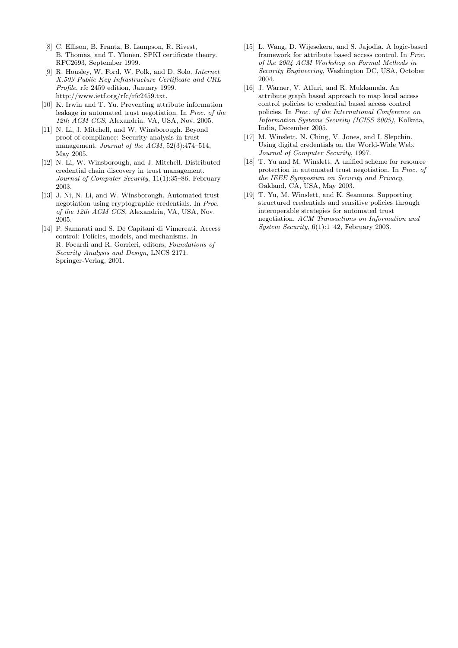- [8] C. Ellison, B. Frantz, B. Lampson, R. Rivest, B. Thomas, and T. Ylonen. SPKI certificate theory. RFC2693, September 1999.
- [9] R. Housley, W. Ford, W. Polk, and D. Solo. Internet X.509 Public Key Infrastructure Certificate and CRL Profile, rfc 2459 edition, January 1999. http://www.ietf.org/rfc/rfc2459.txt.
- [10] K. Irwin and T. Yu. Preventing attribute information leakage in automated trust negotiation. In Proc. of the 12th ACM CCS, Alexandria, VA, USA, Nov. 2005.
- [11] N. Li, J. Mitchell, and W. Winsborough. Beyond proof-of-compliance: Security analysis in trust management. Journal of the ACM, 52(3):474–514, May 2005.
- [12] N. Li, W. Winsborough, and J. Mitchell. Distributed credential chain discovery in trust management. Journal of Computer Security, 11(1):35–86, February 2003.
- [13] J. Ni, N. Li, and W. Winsborough. Automated trust negotiation using cryptographic credentials. In Proc. of the 12th ACM CCS, Alexandria, VA, USA, Nov. 2005.
- [14] P. Samarati and S. De Capitani di Vimercati. Access control: Policies, models, and mechanisms. In R. Focardi and R. Gorrieri, editors, Foundations of Security Analysis and Design, LNCS 2171. Springer-Verlag, 2001.
- [15] L. Wang, D. Wijesekera, and S. Jajodia. A logic-based framework for attribute based access control. In Proc. of the 2004 ACM Workshop on Formal Methods in Security Engineering, Washington DC, USA, October 2004.
- [16] J. Warner, V. Atluri, and R. Mukkamala. An attribute graph based approach to map local access control policies to credential based access control policies. In Proc. of the International Conference on Information Systems Security (ICISS 2005), Kolkata, India, December 2005.
- [17] M. Winslett, N. Ching, V. Jones, and I. Slepchin. Using digital credentials on the World-Wide Web. Journal of Computer Security, 1997.
- [18] T. Yu and M. Winslett. A unified scheme for resource protection in automated trust negotiation. In Proc. of the IEEE Symposium on Security and Privacy, Oakland, CA, USA, May 2003.
- [19] T. Yu, M. Winslett, and K. Seamons. Supporting structured credentials and sensitive policies through interoperable strategies for automated trust negotiation. ACM Transactions on Information and System Security, 6(1):1–42, February 2003.